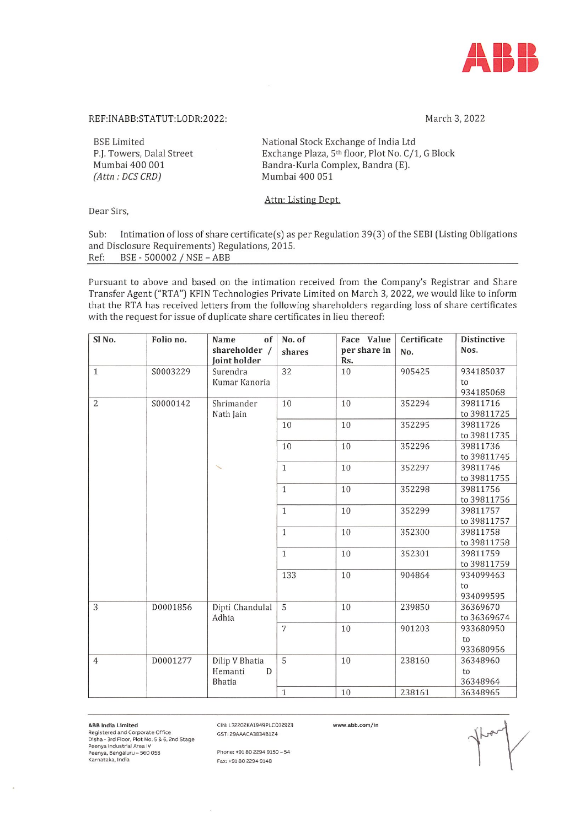

## REF:INABB:STATUT:LODR:2022: March 3, 2022

BSELimited P.J.Towers, Dalal Street Mumbai 400 001 *(Attn : DCSCRD)*

National Stock Exchange of India Ltd Exchange Plaza, 5 th floor, Plot No. C/1, G Block Bandra-Kurla Complex, Bandra (E). Mumbai 400 051

Attn: Listing Dept.

Dear Sirs,

Sub: Intimation of loss of share certificate(s) as per Regulation 39(3) of the SEBI (Listing Obligations and Disclosure Requirements) Regulations, 2015. Ref: BSE- 500002 / NSE- ABB

Pursuant to above and based on the intimation received from the Company's Registrar and Share Transfer Agent ("RTA") KFIN Technologies Private Limited on March 3, 2022, we would like to inform that the RTA has received letters from the following shareholders regarding loss of share certificates with the request for issue of duplicate share certificates in lieu thereof:

| Sl <sub>No.</sub> | Folio no. | of<br>Name<br>shareholder /<br>Joint holder     | No. of<br>shares | Face Value<br>per share in<br>Rs. | Certificate<br>No. | <b>Distinctive</b><br>Nos.   |
|-------------------|-----------|-------------------------------------------------|------------------|-----------------------------------|--------------------|------------------------------|
| $\mathbf{1}$      | S0003229  | Surendra<br>Kumar Kanoria                       | 32               | 10                                | 905425             | 934185037<br>to<br>934185068 |
| $\overline{2}$    | S0000142  | Shrimander<br>Nath Jain                         | 10               | 10                                | 352294             | 39811716<br>to 39811725      |
|                   |           |                                                 | 10               | 10                                | 352295             | 39811726<br>to 39811735      |
|                   |           |                                                 | 10               | 10                                | 352296             | 39811736<br>to 39811745      |
|                   |           | $\overline{\phantom{0}}$                        | $\mathbf{1}$     | 10                                | 352297             | 39811746<br>to 39811755      |
|                   |           |                                                 | $\mathbf{1}$     | 10                                | 352298             | 39811756<br>to 39811756      |
|                   |           |                                                 | $\mathbf{1}$     | 10                                | 352299             | 39811757<br>to 39811757      |
|                   |           |                                                 | $\mathbf{1}$     | 10                                | 352300             | 39811758<br>to 39811758      |
|                   |           |                                                 | $\mathbf{1}$     | 10                                | 352301             | 39811759<br>to 39811759      |
|                   |           |                                                 | 133              | 10                                | 904864             | 934099463<br>to<br>934099595 |
| 3                 | D0001856  | Dipti Chandulal<br>Adhia                        | $\overline{5}$   | 10                                | 239850             | 36369670<br>to 36369674      |
|                   |           |                                                 | $\overline{7}$   | 10                                | 901203             | 933680950<br>to<br>933680956 |
| $\overline{4}$    | D0001277  | Dilip V Bhatia<br>Hemanti<br>D<br><b>Bhatia</b> | 5                | 10                                | 238160             | 36348960<br>to<br>36348964   |
|                   |           |                                                 | $\mathbf{1}$     | 10                                | 238161             | 36348965                     |

## ABB India Limited

Registered and Corporate Office<br>Disha - 3rd Floor, Plot No. 5 & 6, 2nd Stage<br>Peenya Industrial Area IV Peenya, Bengaluru – 560 058<br>Karnataka, India

CIN: L322O2KA1949PLCO32923 GST: 29AAACA3834B1Z4

www.abb.com/in

Phone: +91 80 2294 9150 - 54 Fax: +9180 2294 9148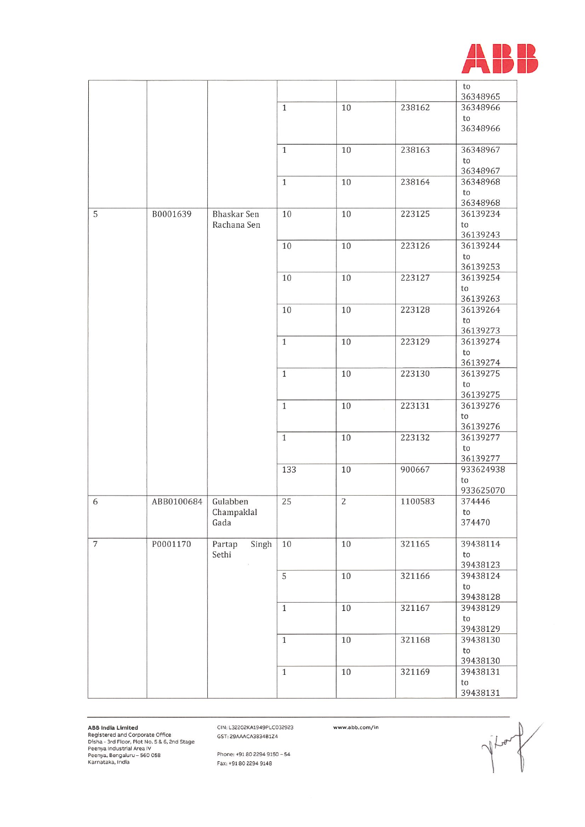

|                |            |                                   |              |                |         | to<br>36348965       |
|----------------|------------|-----------------------------------|--------------|----------------|---------|----------------------|
|                |            |                                   | $\mathbf{1}$ | 10             | 238162  | 36348966             |
|                |            |                                   |              |                |         | to                   |
|                |            |                                   |              |                |         | 36348966             |
|                |            |                                   |              |                |         |                      |
|                |            |                                   | $\mathbf{1}$ | 10             | 238163  | 36348967             |
|                |            |                                   |              |                |         | to                   |
|                |            |                                   |              |                |         | 36348967             |
|                |            |                                   | $1\,$        | 10             | 238164  | 36348968             |
|                |            |                                   |              |                |         | to                   |
|                |            |                                   |              |                |         | 36348968             |
| 5              | B0001639   | <b>Bhaskar</b> Sen<br>Rachana Sen | 10           | 10             | 223125  | 36139234             |
|                |            |                                   |              |                |         | to<br>36139243       |
|                |            |                                   | 10           | 10             | 223126  | 36139244             |
|                |            |                                   |              |                |         | to                   |
|                |            |                                   |              |                |         | 36139253             |
|                |            |                                   | 10           | 10             | 223127  | 36139254             |
|                |            |                                   |              |                |         | to                   |
|                |            |                                   |              |                |         | 36139263             |
|                |            |                                   | 10           | 10             | 223128  | 36139264             |
|                |            |                                   |              |                |         | to                   |
|                |            |                                   |              |                |         | 36139273             |
|                |            |                                   | $\mathbf{1}$ | 10             | 223129  | 36139274             |
|                |            |                                   |              |                |         | to                   |
|                |            |                                   |              |                |         | 36139274             |
|                |            |                                   | $1\,$        | 10             | 223130  | 36139275             |
|                |            |                                   |              |                |         | to<br>36139275       |
|                |            |                                   | $\mathbf{1}$ | 10             | 223131  | 36139276             |
|                |            |                                   |              |                |         | to                   |
|                |            |                                   |              |                |         | 36139276             |
|                |            |                                   | $\mathbf{1}$ | 10             | 223132  | 36139277             |
|                |            |                                   |              |                |         | to                   |
|                |            |                                   |              |                |         | 36139277             |
|                |            |                                   | 133          | 10             | 900667  | 933624938            |
|                |            |                                   |              |                |         | to                   |
|                |            |                                   |              |                |         | 933625070            |
| 6              | ABB0100684 | Gulabben                          | 25           | $\overline{c}$ | 1100583 | 374446               |
|                |            | Champaklal                        |              |                |         | to                   |
|                |            | Gada                              |              |                |         | 374470               |
| $\overline{7}$ | P0001170   | Singh<br>Partap                   | 10           | $10\,$         | 321165  | 39438114             |
|                |            | Sethi                             |              |                |         | to                   |
|                |            |                                   |              |                |         | 39438123             |
|                |            |                                   | 5            | 10             | 321166  | 39438124             |
|                |            |                                   |              |                |         | to                   |
|                |            |                                   |              |                |         | 39438128             |
|                |            |                                   | $1\,$        | 10             | 321167  | 39438129             |
|                |            |                                   |              |                |         | to                   |
|                |            |                                   |              |                |         | 39438129             |
|                |            |                                   | $1\,$        | 10             | 321168  | 39438130             |
|                |            |                                   |              |                |         | to                   |
|                |            |                                   | $\,1\,$      | 10             | 321169  | 39438130<br>39438131 |
|                |            |                                   |              |                |         | to                   |
|                |            |                                   |              |                |         | 39438131             |
|                |            |                                   |              |                |         |                      |

**ABB India Limited**<br>Registered and Corporate Office<br>Disha - 3rd Floor, Plot No. 5 & 6, 2nd Stage<br>Peenya Industrial Area IV<br>Peenya, Bengaluru – 560 058<br>Karnataka, India

CIN: L32202KA1949PLC032923 GST:29AAACA3834B1Z4

Phone: +91 80 2294 9150 - 54 Fax: +9180 2294 9148

www.abb.com/in

 $\overline{\downarrow}$  $\tilde{\mathcal{N}}$